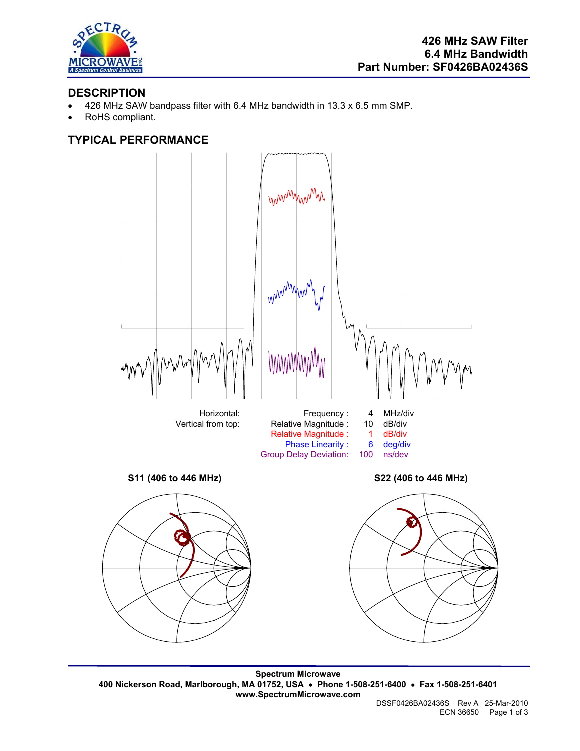

#### **DESCRIPTION**

- 426 MHz SAW bandpass filter with 6.4 MHz bandwidth in 13.3 x 6.5 mm SMP.
- RoHS compliant.

# **TYPICAL PERFORMANCE**



**Spectrum Microwave 400 Nickerson Road, Marlborough, MA 01752, USA** • **Phone 1-508-251-6400** • **Fax 1-508-251-6401 www.SpectrumMicrowave.com**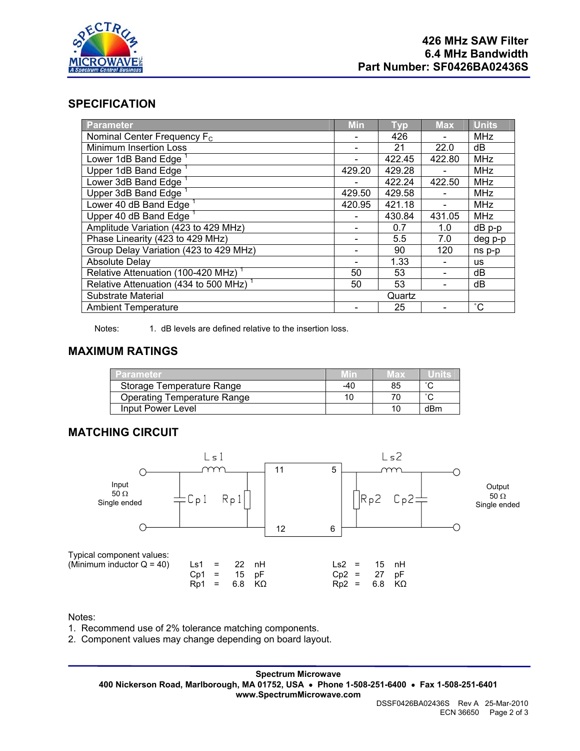

#### **SPECIFICATION**

| <b>Parameter</b>                                   | <b>Min</b> | <b>Typ</b> | <b>Max</b> | <b>Units</b>    |
|----------------------------------------------------|------------|------------|------------|-----------------|
| Nominal Center Frequency F <sub>c</sub>            |            | 426        |            | <b>MHz</b>      |
| <b>Minimum Insertion Loss</b>                      |            | 21         | 22.0       | dВ              |
| Lower 1dB Band Edge                                |            | 422.45     | 422.80     | <b>MHz</b>      |
| Upper 1dB Band Edge                                | 429.20     | 429.28     |            | <b>MHz</b>      |
| Lower 3dB Band Edge                                |            | 422.24     | 422.50     | <b>MHz</b>      |
| Upper 3dB Band Edge <sup>1</sup>                   | 429.50     | 429.58     |            | <b>MHz</b>      |
| Lower 40 dB Band Edge <sup>1</sup>                 | 420.95     | 421.18     |            | <b>MHz</b>      |
| Upper 40 dB Band Edge <sup>1</sup>                 |            | 430.84     | 431.05     | <b>MHz</b>      |
| Amplitude Variation (423 to 429 MHz)               |            | 0.7        | 1.0        | $dB$ p-p        |
| Phase Linearity (423 to 429 MHz)                   |            | 5.5        | 7.0        | deg p-p         |
| Group Delay Variation (423 to 429 MHz)             |            | 90         | 120        | ns p-p          |
| <b>Absolute Delay</b>                              |            | 1.33       |            | <b>us</b>       |
| Relative Attenuation (100-420 MHz) <sup>1</sup>    | 50         | 53         |            | dB              |
| Relative Attenuation (434 to 500 MHz) <sup>1</sup> | 50         | 53         |            | dB              |
| Substrate Material                                 | Quartz     |            |            |                 |
| <b>Ambient Temperature</b>                         |            | 25         |            | $\rm ^{\circ}C$ |

Notes: 1. dB levels are defined relative to the insertion loss.

## **MAXIMUM RATINGS**

| Parameter                   |     | lax |        |
|-----------------------------|-----|-----|--------|
| Storage Temperature Range   | -40 | 85  | $\sim$ |
| Operating Temperature Range |     |     | $\sim$ |
| Input Power Level           |     | 10  | dBm    |

#### **MATCHING CIRCUIT**



Notes:

1. Recommend use of 2% tolerance matching components.

2. Component values may change depending on board layout.

**Spectrum Microwave 400 Nickerson Road, Marlborough, MA 01752, USA** • **Phone 1-508-251-6400** • **Fax 1-508-251-6401 www.SpectrumMicrowave.com**